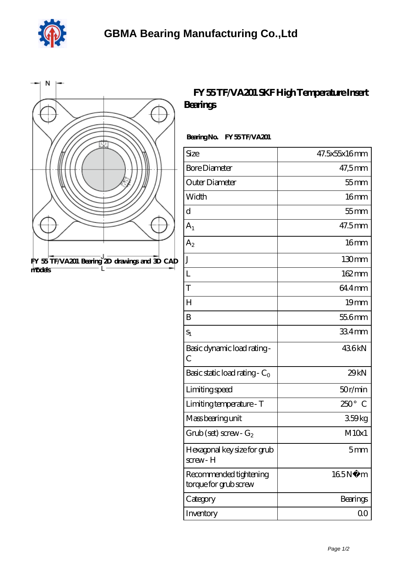



## **[FY 55 TF/VA201 SKF High Temperature Insert](https://dogwooddreams.com/high-temperature-insert-bearings/fy-55-tf-va201.html) [Bearings](https://dogwooddreams.com/high-temperature-insert-bearings/fy-55-tf-va201.html)**

## Bearing No. FY 55 TF/VA201

| Size                                            | 47.5x55x16mm       |
|-------------------------------------------------|--------------------|
| <b>Bore Diameter</b>                            | 47,5mm             |
| Outer Diameter                                  | $55$ mm            |
| Width                                           | 16 <sub>mm</sub>   |
| d                                               | $55$ mm            |
| $A_1$                                           | 47.5mm             |
| A <sub>2</sub>                                  | 16mm               |
| $\rm J$                                         | 130mm              |
| L                                               | 162mm              |
| T                                               | 644mm              |
| H                                               | 19 <sub>mm</sub>   |
| B                                               | 55.6mm             |
| $S_1$                                           | 334mm              |
| Basic dynamic load rating-<br>$\overline{C}$    | 436kN              |
| Basic static load rating - $C_0$                | 29kN               |
| Limiting speed                                  | 50r/min            |
| Limiting temperature - T                        | $250^{\circ}$<br>C |
| Mass bearing unit                               | 359kg              |
| $Grub$ (set) screw - $G_2$                      | M10x1              |
| Hexagonal key size for grub<br>screw-H          | 5mm                |
| Recommended tightening<br>torque for grub screw | 165N<br>m          |
| Category                                        | Bearings           |
| Inventory                                       | $00 \,$            |